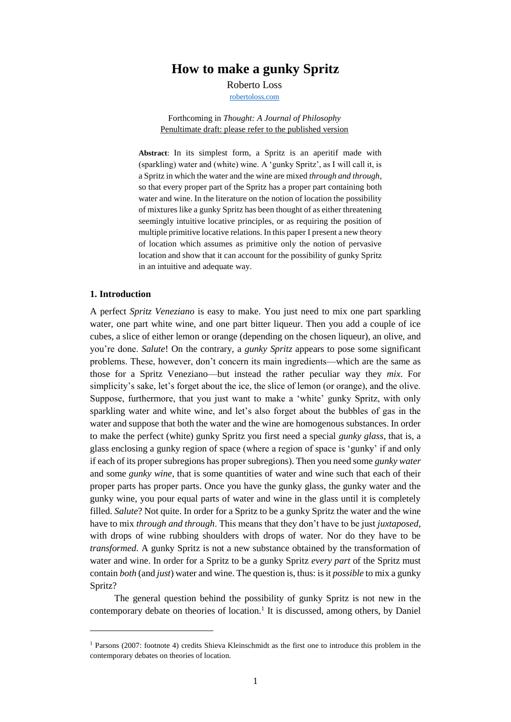# **How to make a gunky Spritz**

Roberto Loss

[robertoloss.com](http://robertoloss.com/)

Forthcoming in *Thought: A Journal of Philosophy* Penultimate draft: please refer to the published version

**Abstract**: In its simplest form, a Spritz is an aperitif made with (sparkling) water and (white) wine. A 'gunky Spritz', as I will call it, is a Spritz in which the water and the wine are mixed *through and through*, so that every proper part of the Spritz has a proper part containing both water and wine. In the literature on the notion of location the possibility of mixtures like a gunky Spritz has been thought of as either threatening seemingly intuitive locative principles, or as requiring the position of multiple primitive locative relations. In this paper I present a new theory of location which assumes as primitive only the notion of pervasive location and show that it can account for the possibility of gunky Spritz in an intuitive and adequate way.

#### **1. Introduction**

l

A perfect *Spritz Veneziano* is easy to make. You just need to mix one part sparkling water, one part white wine, and one part bitter liqueur. Then you add a couple of ice cubes, a slice of either lemon or orange (depending on the chosen liqueur), an olive, and you're done. *Salute*! On the contrary, a *gunky Spritz* appears to pose some significant problems. These, however, don't concern its main ingredients—which are the same as those for a Spritz Veneziano—but instead the rather peculiar way they *mix*. For simplicity's sake, let's forget about the ice, the slice of lemon (or orange), and the olive. Suppose, furthermore, that you just want to make a 'white' gunky Spritz, with only sparkling water and white wine, and let's also forget about the bubbles of gas in the water and suppose that both the water and the wine are homogenous substances. In order to make the perfect (white) gunky Spritz you first need a special *gunky glass*, that is, a glass enclosing a gunky region of space (where a region of space is 'gunky' if and only if each of its proper subregions has proper subregions). Then you need some *gunky water* and some *gunky wine*, that is some quantities of water and wine such that each of their proper parts has proper parts. Once you have the gunky glass, the gunky water and the gunky wine, you pour equal parts of water and wine in the glass until it is completely filled. *Salute*? Not quite. In order for a Spritz to be a gunky Spritz the water and the wine have to mix *through and through*. This means that they don't have to be just *juxtaposed*, with drops of wine rubbing shoulders with drops of water. Nor do they have to be *transformed*. A gunky Spritz is not a new substance obtained by the transformation of water and wine. In order for a Spritz to be a gunky Spritz *every part* of the Spritz must contain *both* (and *just*) water and wine. The question is, thus: is it *possible* to mix a gunky Spritz?

The general question behind the possibility of gunky Spritz is not new in the contemporary debate on theories of location.<sup>1</sup> It is discussed, among others, by Daniel

<sup>1</sup> Parsons (2007: footnote 4) credits Shieva Kleinschmidt as the first one to introduce this problem in the contemporary debates on theories of location.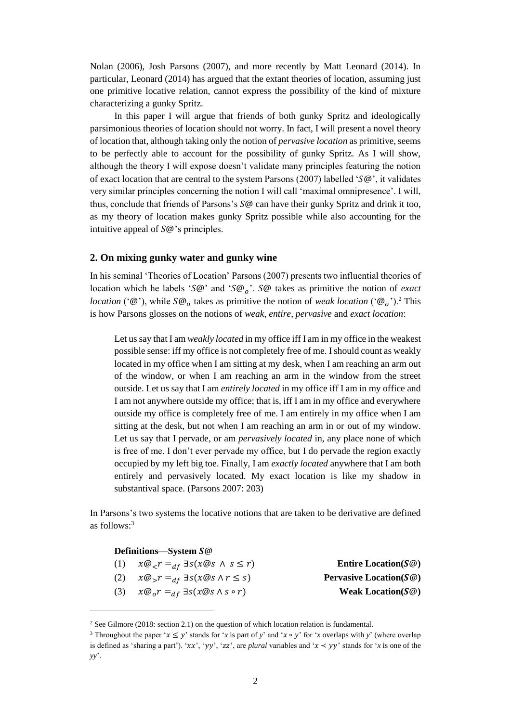Nolan (2006), Josh Parsons (2007), and more recently by Matt Leonard (2014). In particular, Leonard (2014) has argued that the extant theories of location, assuming just one primitive locative relation, cannot express the possibility of the kind of mixture characterizing a gunky Spritz.

In this paper I will argue that friends of both gunky Spritz and ideologically parsimonious theories of location should not worry. In fact, I will present a novel theory of location that, although taking only the notion of *pervasive location* as primitive, seems to be perfectly able to account for the possibility of gunky Spritz. As I will show, although the theory I will expose doesn't validate many principles featuring the notion of exact location that are central to the system Parsons (2007) labelled ' $\mathcal{S}(\mathcal{Q})$ ', it validates very similar principles concerning the notion I will call 'maximal omnipresence'. I will, thus, conclude that friends of Parsons's @ can have their gunky Spritz and drink it too, as my theory of location makes gunky Spritz possible while also accounting for the intuitive appeal of  $S@$ 's principles.

# **2. On mixing gunky water and gunky wine**

In his seminal 'Theories of Location' Parsons (2007) presents two influential theories of location which he labels 'S@' and 'S@<sub>o</sub>'. S@ takes as primitive the notion of *exact location* ( $\mathcal{P}(\omega)$ ), while  $\mathcal{S}(\omega)$  takes as primitive the notion of *weak location* ( $\mathcal{P}(\omega)$ ).<sup>2</sup> This is how Parsons glosses on the notions of *weak*, *entire*, *pervasive* and *exact location*:

Let us say that I am *weakly located* in my office iff I am in my office in the weakest possible sense: iff my office is not completely free of me. I should count as weakly located in my office when I am sitting at my desk, when I am reaching an arm out of the window, or when I am reaching an arm in the window from the street outside. Let us say that I am *entirely located* in my office iff I am in my office and I am not anywhere outside my office; that is, iff I am in my office and everywhere outside my office is completely free of me. I am entirely in my office when I am sitting at the desk, but not when I am reaching an arm in or out of my window. Let us say that I pervade, or am *pervasively located* in, any place none of which is free of me. I don't ever pervade my office, but I do pervade the region exactly occupied by my left big toe. Finally, I am *exactly located* anywhere that I am both entirely and pervasively located. My exact location is like my shadow in substantival space. (Parsons 2007: 203)

In Parsons's two systems the locative notions that are taken to be derivative are defined as follows:<sup>3</sup>

#### **Definitions—System S**@

l

|  | (1) $x@_{<}r =_{df} \exists s(x@s \land s \leq r)$ |  |  | Entire Location( $S@$ ) |
|--|----------------------------------------------------|--|--|-------------------------|
|  |                                                    |  |  | .                       |

(3)  $x@_0r =_{df} \exists s(x@s \land s \circ r)$  **Weak Location(S**@)

(2)  $x@_{>}r =_{df} \exists s(x@s \land r \leq s)$  **Pervasive Location(S**@)

<sup>2</sup> See Gilmore (2018: section 2.1) on the question of which location relation is fundamental.

<sup>&</sup>lt;sup>3</sup> Throughout the paper ' $x \le y$ ' stands for '*x* is part of *y*' and ' $x \circ y$ ' for '*x* overlaps with *y*' (where overlap is defined as 'sharing a part'). ' $xx$ ', 'yy', 'zz', are *plural* variables and ' $x \leq yy$ ' stands for '*x* is one of the *yy*'.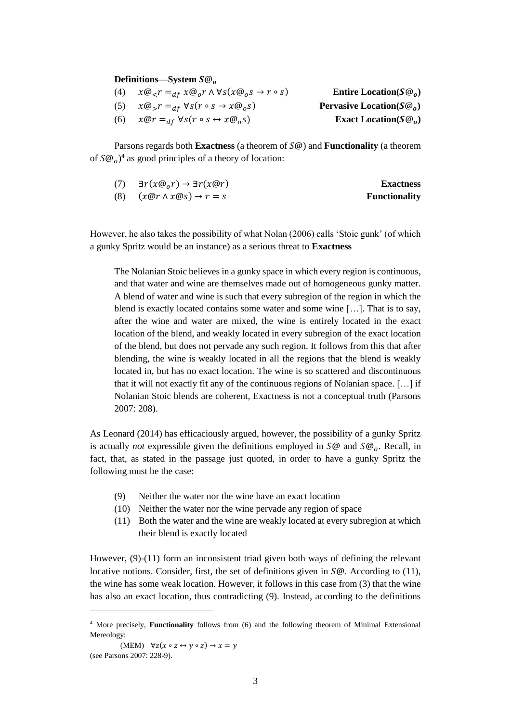#### **Definitions**—System  $\mathcal{S} \textcircled{a}$

| Entire Location( $S@_{\alpha}$ )                    | $x@_{<}r =_{df} x@_{o}r \wedge \forall s(x@_{o}s \rightarrow r \circ s)$ | (4) |
|-----------------------------------------------------|--------------------------------------------------------------------------|-----|
| Pervasive Location( $S@_{\alpha}$ )                 | (5) $x@_{>}r =_{df} \forall s(r \circ s \rightarrow x@_{o}s)$            |     |
| <b>Exact Location</b> $(\mathcal{S} \mathcal{Q}_o)$ | $x@r =_{df} \forall s(r \circ s \leftrightarrow x@_o s)$                 | (6) |

Parsons regards both **Exactness** (a theorem of  $S$ <sup> $@$ </sup>) and **Functionality** (a theorem of  $\text{SO}_0$ <sup>4</sup> as good principles of a theory of location:

| <b>Exactness</b>     | $\exists r(x\omega_o r) \rightarrow \exists r(x\omega r)$ | (7) |
|----------------------|-----------------------------------------------------------|-----|
| <b>Functionality</b> | $(x@r \wedge x@s) \rightarrow r = s$                      | (8) |

However, he also takes the possibility of what Nolan (2006) calls 'Stoic gunk' (of which a gunky Spritz would be an instance) as a serious threat to **Exactness**

The Nolanian Stoic believes in a gunky space in which every region is continuous, and that water and wine are themselves made out of homogeneous gunky matter. A blend of water and wine is such that every subregion of the region in which the blend is exactly located contains some water and some wine […]. That is to say, after the wine and water are mixed, the wine is entirely located in the exact location of the blend, and weakly located in every subregion of the exact location of the blend, but does not pervade any such region. It follows from this that after blending, the wine is weakly located in all the regions that the blend is weakly located in, but has no exact location. The wine is so scattered and discontinuous that it will not exactly fit any of the continuous regions of Nolanian space. […] if Nolanian Stoic blends are coherent, Exactness is not a conceptual truth (Parsons 2007: 208).

As Leonard (2014) has efficaciously argued, however, the possibility of a gunky Spritz is actually *not* expressible given the definitions employed in  $\overline{S}\omega$  and  $\overline{S}\omega$ . Recall, in fact, that, as stated in the passage just quoted, in order to have a gunky Spritz the following must be the case:

- (9) Neither the water nor the wine have an exact location
- (10) Neither the water nor the wine pervade any region of space
- (11) Both the water and the wine are weakly located at every subregion at which their blend is exactly located

However, (9)-(11) form an inconsistent triad given both ways of defining the relevant locative notions. Consider, first, the set of definitions given in  $\mathcal{S}(\mathcal{Q})$ . According to (11), the wine has some weak location*.* However, it follows in this case from (3) that the wine has also an exact location, thus contradicting (9). Instead, according to the definitions

<sup>4</sup> More precisely, **Functionality** follows from (6) and the following theorem of Minimal Extensional Mereology:

<sup>(</sup>MEM)  $\forall z (x \circ z \leftrightarrow y \circ z) \rightarrow x = y$ (see Parsons 2007: 228-9).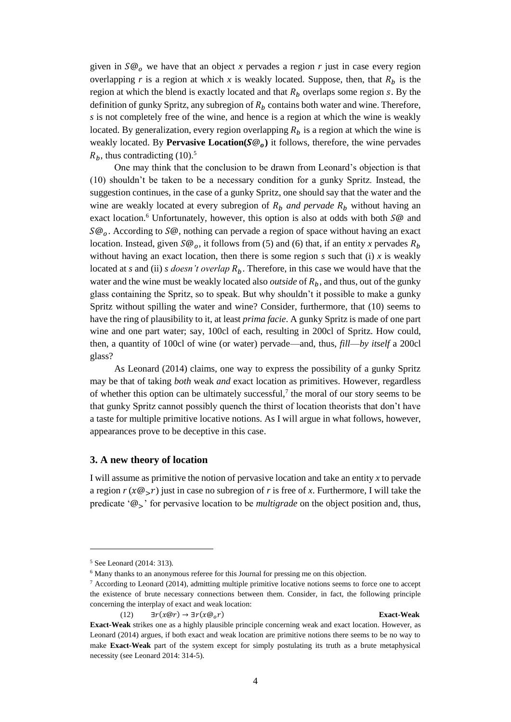given in  $\mathcal{S} \omega$  we have that an object *x* pervades a region *r* just in case every region overlapping *r* is a region at which *x* is weakly located. Suppose, then, that  $R_b$  is the region at which the blend is exactly located and that  $R<sub>b</sub>$  overlaps some region s. By the definition of gunky Spritz, any subregion of  $R_b$  contains both water and wine. Therefore, *s* is not completely free of the wine, and hence is a region at which the wine is weakly located. By generalization, every region overlapping  $R<sub>b</sub>$  is a region at which the wine is weakly located. By **Pervasive Location(** $\mathcal{S}(\omega_o)$  it follows, therefore, the wine pervades  $R<sub>b</sub>$ , thus contradicting (10).<sup>5</sup>

One may think that the conclusion to be drawn from Leonard's objection is that (10) shouldn't be taken to be a necessary condition for a gunky Spritz. Instead, the suggestion continues, in the case of a gunky Spritz, one should say that the water and the wine are weakly located at every subregion of  $R_h$  *and pervade*  $R_h$  without having an exact location.<sup>6</sup> Unfortunately, however, this option is also at odds with both  $\overline{S}\mathcal{Q}$  and  $\mathcal{S}\mathcal{Q}_o$ . According to  $\mathcal{S}\mathcal{Q}_o$ , nothing can pervade a region of space without having an exact location. Instead, given  $\mathcal{S}(\mathcal{Q}_0)$ , it follows from (5) and (6) that, if an entity *x* pervades  $R_h$ without having an exact location, then there is some region  $s$  such that (i)  $x$  is weakly located at *s* and (ii) *s doesn't overlap*  $R_h$ . Therefore, in this case we would have that the water and the wine must be weakly located also *outside* of  $R_b$ , and thus, out of the gunky glass containing the Spritz, so to speak. But why shouldn't it possible to make a gunky Spritz without spilling the water and wine? Consider, furthermore, that (10) seems to have the ring of plausibility to it, at least *prima facie*. A gunky Spritz is made of one part wine and one part water; say, 100cl of each, resulting in 200cl of Spritz. How could, then, a quantity of 100cl of wine (or water) pervade—and, thus, *fill*—*by itself* a 200cl glass?

As Leonard (2014) claims, one way to express the possibility of a gunky Spritz may be that of taking *both* weak *and* exact location as primitives. However, regardless of whether this option can be ultimately successful,<sup>7</sup> the moral of our story seems to be that gunky Spritz cannot possibly quench the thirst of location theorists that don't have a taste for multiple primitive locative notions. As I will argue in what follows, however, appearances prove to be deceptive in this case.

### **3. A new theory of location**

I will assume as primitive the notion of pervasive location and take an entity *x* to pervade a region  $r(x \mathcal{Q}_\infty r)$  just in case no subregion of r is free of x. Furthermore, I will take the predicate '@>' for pervasive location to be *multigrade* on the object position and, thus,

l

(12)  $\exists r(x@r) \rightarrow \exists r(x@_0r)$  **Exact-Weak** 

<sup>5</sup> See Leonard (2014: 313).

<sup>6</sup> Many thanks to an anonymous referee for this Journal for pressing me on this objection.

<sup>7</sup> According to Leonard (2014), admitting multiple primitive locative notions seems to force one to accept the existence of brute necessary connections between them. Consider, in fact, the following principle concerning the interplay of exact and weak location:

**Exact-Weak** strikes one as a highly plausible principle concerning weak and exact location. However, as Leonard (2014) argues, if both exact and weak location are primitive notions there seems to be no way to make **Exact-Weak** part of the system except for simply postulating its truth as a brute metaphysical necessity (see Leonard 2014: 314-5).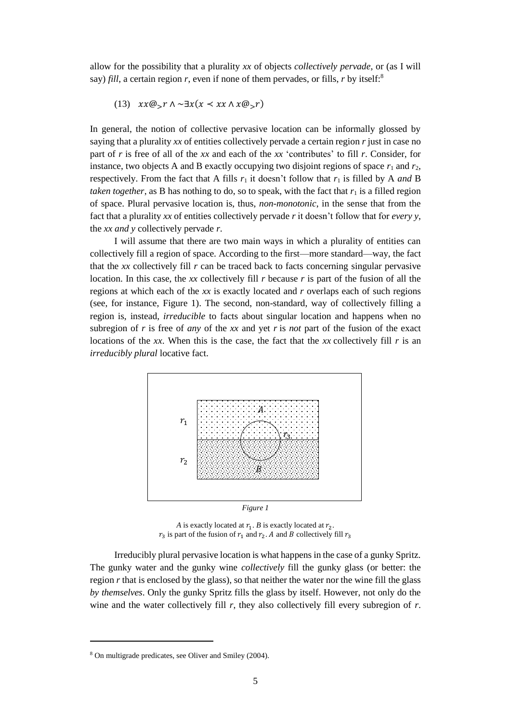allow for the possibility that a plurality *xx* of objects *collectively pervade*, or (as I will say) *fill*, a certain region *r*, even if none of them pervades, or fills, *r* by itself:<sup>8</sup>

$$
(13)\quad xx@_{>}r\wedge\sim\exists x(x\prec xx\wedge x@_{>}r)
$$

In general, the notion of collective pervasive location can be informally glossed by saying that a plurality *xx* of entities collectively pervade a certain region *r* just in case no part of *r* is free of all of the *xx* and each of the *xx* 'contributes' to fill *r*. Consider, for instance, two objects A and B exactly occupying two disjoint regions of space  $r_1$  and  $r_2$ , respectively. From the fact that A fills  $r_1$  it doesn't follow that  $r_1$  is filled by A *and* B *taken together*, as B has nothing to do, so to speak, with the fact that  $r_1$  is a filled region of space. Plural pervasive location is, thus, *non-monotonic*, in the sense that from the fact that a plurality *xx* of entities collectively pervade *r* it doesn't follow that for *every y*, the *xx and y* collectively pervade *r*.

I will assume that there are two main ways in which a plurality of entities can collectively fill a region of space. According to the first—more standard—way, the fact that the  $xx$  collectively fill  $r$  can be traced back to facts concerning singular pervasive location. In this case, the *xx* collectively fill *r* because *r* is part of the fusion of all the regions at which each of the *xx* is exactly located and *r* overlaps each of such regions (see, for instance, Figure 1). The second, non-standard, way of collectively filling a region is, instead, *irreducible* to facts about singular location and happens when no subregion of *r* is free of *any* of the *xx* and yet *r* is *not* part of the fusion of the exact locations of the *xx*. When this is the case, the fact that the *xx* collectively fill  $r$  is an *irreducibly plural* locative fact.



*A* is exactly located at  $r_1$ . *B* is exactly located at  $r_2$ .  $r_3$  is part of the fusion of  $r_1$  and  $r_2$ . A and B collectively fill  $r_3$ 

Irreducibly plural pervasive location is what happens in the case of a gunky Spritz. The gunky water and the gunky wine *collectively* fill the gunky glass (or better: the region *r* that is enclosed by the glass), so that neither the water nor the wine fill the glass *by themselves*. Only the gunky Spritz fills the glass by itself. However, not only do the wine and the water collectively fill *r*, they also collectively fill every subregion of *r*.

<sup>8</sup> On multigrade predicates, see Oliver and Smiley (2004).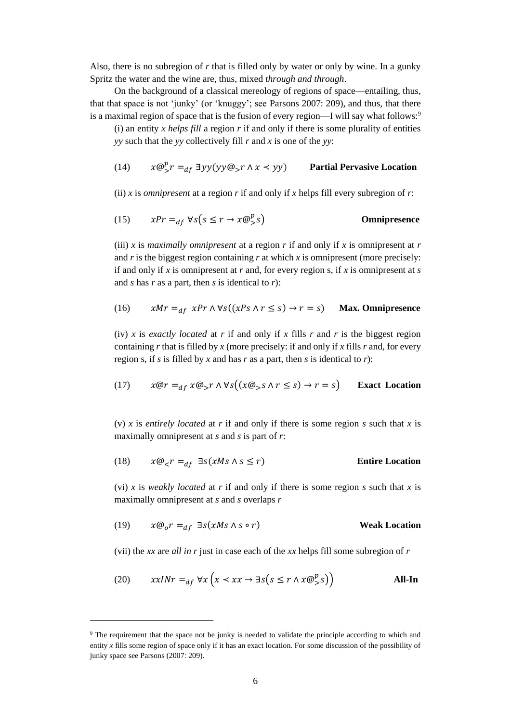Also, there is no subregion of *r* that is filled only by water or only by wine. In a gunky Spritz the water and the wine are, thus, mixed *through and through*.

On the background of a classical mereology of regions of space—entailing, thus, that that space is not 'junky' (or 'knuggy'; see Parsons 2007: 209), and thus, that there is a maximal region of space that is the fusion of every region—I will say what follows:<sup>9</sup>

(i) an entity *x helps fill* a region *r* if and only if there is some plurality of entities *yy* such that the *yy* collectively fill *r* and *x* is one of the *yy*:

(14) 
$$
x@_{\gt}^{p} r =_{df} \exists yy(yy@_{\gt} r \land x \lt yy)
$$
 Partial Pervasive Location

(ii) *x* is *omnipresent* at a region *r* if and only if *x* helps fill every subregion of *r*:

(15) 
$$
x Pr =_{df} \forall s (s \le r \rightarrow x @^p_s s)
$$
 Ominpresence

(iii) *x* is *maximally omnipresent* at a region *r* if and only if *x* is omnipresent at *r*  and *r* is the biggest region containing *r* at which *x* is omnipresent (more precisely: if and only if *x* is omnipresent at *r* and, for every region s, if *x* is omnipresent at *s*  and *s* has *r* as a part, then *s* is identical to *r*):

(16) 
$$
xMr =_{df} xPr \wedge \forall s((xPs \wedge r \le s) \rightarrow r = s)
$$
 **Max. Ominpresence**

(iv) *x* is *exactly located* at *r* if and only if *x* fills *r* and *r* is the biggest region containing *r* that is filled by *x* (more precisely: if and only if *x* fills *r* and, for every region s, if *s* is filled by *x* and has *r* as a part, then *s* is identical to *r*):

(17) 
$$
x@r =_{df} x@_{>r} \land \forall s((x@_{>s} \land r \leq s) \rightarrow r = s)
$$
 Exact Location

(v) *x* is *entirely located* at *r* if and only if there is some region *s* such that *x* is maximally omnipresent at *s* and *s* is part of *r*:

(18) 
$$
x@_{<}r =_{df} \exists s(xMs \land s \leq r)
$$
 **Entire Location**

(vi) *x* is *weakly located* at *r* if and only if there is some region *s* such that *x* is maximally omnipresent at *s* and *s* overlaps *r*

(19) 
$$
x@_{o}r =_{df} \exists s(xMs \land s \circ r)
$$
 Weak Location

(vii) the *xx* are *all in r* just in case each of the *xx* helps fill some subregion of *r*

(20) 
$$
x x l N r =_{df} \forall x \left( x \prec x x \rightarrow \exists s \left( s \leq r \land x \mathcal{Q}_>^p s \right) \right)
$$
 All-In

<sup>9</sup> The requirement that the space not be junky is needed to validate the principle according to which and entity *x* fills some region of space only if it has an exact location. For some discussion of the possibility of junky space see Parsons (2007: 209).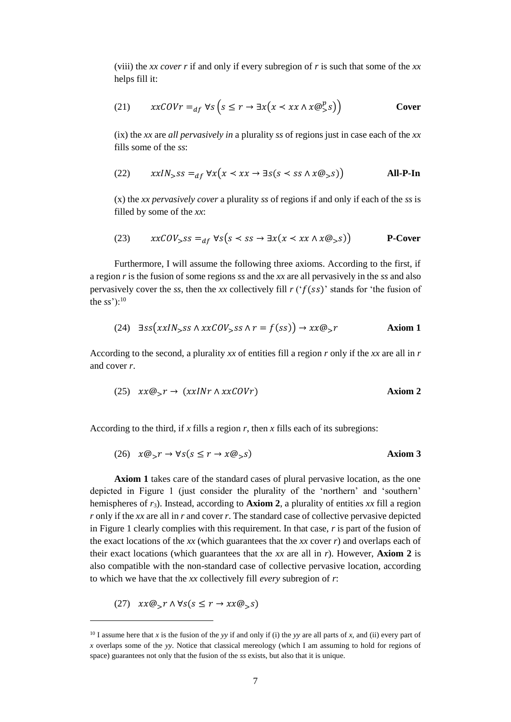(viii) the *xx cover r* if and only if every subregion of *r* is such that some of the *xx* helps fill it:

(21) 
$$
xx\mathcal{C}OVr =_{df} \forall s \left(s \leq r \to \exists x \left(x \prec xx \land x \mathcal{Q}^p_s s\right)\right)
$$
Cover

(ix) the *xx* are *all pervasively in* a plurality *ss* of regions just in case each of the *xx* fills some of the *ss*:

(22) 
$$
xxIN_{>}ss =_{df} \forall x(x \prec xx \rightarrow \exists s(s \prec ss \land x@_{>}s))
$$
All-P-In

(x) the *xx pervasively cover* a plurality *ss* of regions if and only if each of the *ss* is filled by some of the *xx*:

(23) 
$$
xxCOV_{>SS} =_{df} \forall s (s \prec ss \rightarrow \exists x (x \prec xx \land x \textcircled{\scriptsize{0}}_{>S})) \qquad \text{P-Cover}
$$

Furthermore, I will assume the following three axioms. According to the first, if a region *r* is the fusion of some regions *ss* and the *xx* are all pervasively in the *ss* and also pervasively cover the *ss*, then the *xx* collectively fill  $r$  (' $f$ ( $ss$ )' stands for 'the fusion of the  $ss$ '):<sup>10</sup>

(24) 
$$
\exists ss \big( xxIN_{>ss} \land xxCOV_{>ss} \land r = f(ss) \big) \rightarrow xx@_{>}r
$$
 Axiom 1

According to the second, a plurality *xx* of entities fill a region *r* only if the *xx* are all in *r* and cover *r*.

(25) 
$$
xx@_{>}r \rightarrow (xxINT \land xxCOVr)
$$
 Axiom 2

According to the third, if  $x$  fills a region  $r$ , then  $x$  fills each of its subregions:

(26) 
$$
x@_{>}r \rightarrow \forall s(s \leq r \rightarrow x@_{>}s)
$$
 Axiom 3

**Axiom 1** takes care of the standard cases of plural pervasive location, as the one depicted in Figure 1 (just consider the plurality of the 'northern' and 'southern' hemispheres of *r*3). Instead, according to **Axiom 2**, a plurality of entities *xx* fill a region *r* only if the *xx* are all in *r* and cover *r*. The standard case of collective pervasive depicted in Figure 1 clearly complies with this requirement. In that case, *r* is part of the fusion of the exact locations of the *xx* (which guarantees that the *xx* cover *r*) and overlaps each of their exact locations (which guarantees that the *xx* are all in *r*). However, **Axiom 2** is also compatible with the non-standard case of collective pervasive location, according to which we have that the *xx* collectively fill *every* subregion of *r*:

(27)  $xx@_{>}r \wedge \forall s(s \leq r \rightarrow xx@_{>}s)$ 

<sup>&</sup>lt;sup>10</sup> I assume here that *x* is the fusion of the *yy* if and only if (i) the *yy* are all parts of *x*, and (ii) every part of *x* overlaps some of the *yy*. Notice that classical mereology (which I am assuming to hold for regions of space) guarantees not only that the fusion of the *ss* exists, but also that it is unique.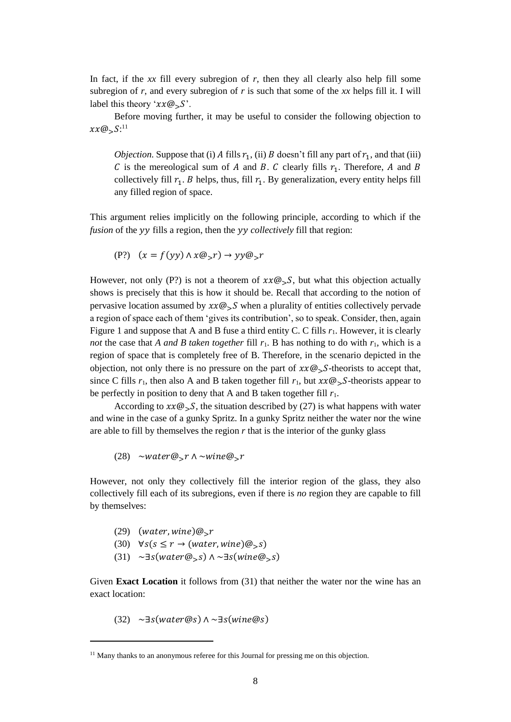In fact, if the *xx* fill every subregion of  $r$ , then they all clearly also help fill some subregion of *r*, and every subregion of *r* is such that some of the *xx* helps fill it. I will label this theory ' $xx@_{5}S'$ .

Before moving further, it may be useful to consider the following objection to  $xx@_{>}S$ :<sup>11</sup>

*Objection*. Suppose that (i) A fills  $r_1$ , (ii) B doesn't fill any part of  $r_1$ , and that (iii) C is the mereological sum of A and B. C clearly fills  $r_1$ . Therefore, A and B collectively fill  $r_1$ . B helps, thus, fill  $r_1$ . By generalization, every entity helps fill any filled region of space.

This argument relies implicitly on the following principle, according to which if the *fusion* of the *yy* fills a region, then the *yy collectively* fill that region:

$$
(P?) \quad (x = f(yy) \land x @_{>}r) \to yy @_{>}r
$$

However, not only (P?) is not a theorem of  $xx@_{S}S$ , but what this objection actually shows is precisely that this is how it should be. Recall that according to the notion of pervasive location assumed by  $xx@S$  when a plurality of entities collectively pervade a region of space each of them 'gives its contribution', so to speak. Consider, then, again Figure 1 and suppose that A and B fuse a third entity C. C fills  $r_1$ . However, it is clearly *not* the case that *A and B taken together* fill  $r_1$ . B has nothing to do with  $r_1$ , which is a region of space that is completely free of B. Therefore, in the scenario depicted in the objection, not only there is no pressure on the part of  $xx@\_S$ -theorists to accept that, since C fills  $r_1$ , then also A and B taken together fill  $r_1$ , but  $xx@$ <sub>></sub>S-theorists appear to be perfectly in position to deny that A and B taken together fill  $r_1$ .

According to  $xx@_{S}S$ , the situation described by (27) is what happens with water and wine in the case of a gunky Spritz. In a gunky Spritz neither the water nor the wine are able to fill by themselves the region *r* that is the interior of the gunky glass

(28)  $\sim$ water@<sub>></sub> $r \wedge \sim$ wine@<sub>></sub> $r$ 

However, not only they collectively fill the interior region of the glass, they also collectively fill each of its subregions, even if there is *no* region they are capable to fill by themselves:

 $(29)$  (water, wine) $@_{\sim}r$ 

 $\overline{a}$ 

- (30)  $\forall s(s \leq r \rightarrow (water, wine)@_{>}$ )
- $(31)$  ~∃s(water@<sub>></sub>s)  $\wedge$  ~∃s(wine@<sub>></sub>s)

Given **Exact Location** it follows from (31) that neither the water nor the wine has an exact location:

 $(32)$  ~ $\exists s(water@s) \wedge \neg \exists s(wine@s)$ 

<sup>&</sup>lt;sup>11</sup> Many thanks to an anonymous referee for this Journal for pressing me on this objection.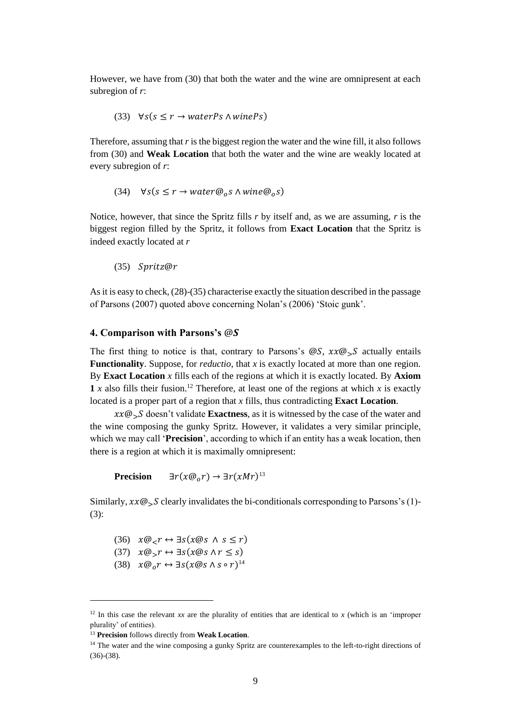However, we have from (30) that both the water and the wine are omnipresent at each subregion of *r*:

(33) 
$$
\forall s (s \leq r \rightarrow waterPs \land winePs)
$$

Therefore, assuming that *r* is the biggest region the water and the wine fill, it also follows from (30) and **Weak Location** that both the water and the wine are weakly located at every subregion of *r*:

(34) 
$$
\forall s (s \leq r \rightarrow water \omega_o s \land wine \omega_o s)
$$

Notice, however, that since the Spritz fills *r* by itself and, as we are assuming, *r* is the biggest region filled by the Spritz, it follows from **Exact Location** that the Spritz is indeed exactly located at *r*

 $(35)$  Spritz@r

As it is easy to check, (28)-(35) characterise exactly the situation described in the passage of Parsons (2007) quoted above concerning Nolan's (2006) 'Stoic gunk'.

# **4. Comparison with Parsons's** @

The first thing to notice is that, contrary to Parsons's  $\omega S$ ,  $xx\omega S$  actually entails **Functionality**. Suppose, for *reductio*, that *x* is exactly located at more than one region. By **Exact Location** *x* fills each of the regions at which it is exactly located. By **Axiom 1** *x* also fills their fusion.<sup>12</sup> Therefore, at least one of the regions at which *x* is exactly located is a proper part of a region that *x* fills, thus contradicting **Exact Location**.

 $xx@_{>}$ S doesn't validate **Exactness**, as it is witnessed by the case of the water and the wine composing the gunky Spritz. However, it validates a very similar principle, which we may call '**Precision**', according to which if an entity has a weak location, then there is a region at which it is maximally omnipresent:

**Precision**  $\exists r(x \mathcal{Q}_o r) \rightarrow \exists r(xMr)^{13}$ 

Similarly,  $xx@_{>}S$  clearly invalidates the bi-conditionals corresponding to Parsons's (1)-(3):

(36)  $x@_{r}r \leftrightarrow \exists s(x@s \land s \leq r)$ 

- (37)  $x@_{S}r \leftrightarrow \exists s(x@s \land r \leq s)$
- (38)  $x@_0r \leftrightarrow \exists s(x@s\land s \circ r)^{14}$

<sup>&</sup>lt;sup>12</sup> In this case the relevant *xx* are the plurality of entities that are identical to *x* (which is an 'improper plurality' of entities).

<sup>13</sup> **Precision** follows directly from **Weak Location**.

<sup>&</sup>lt;sup>14</sup> The water and the wine composing a gunky Spritz are counterexamples to the left-to-right directions of (36)-(38).